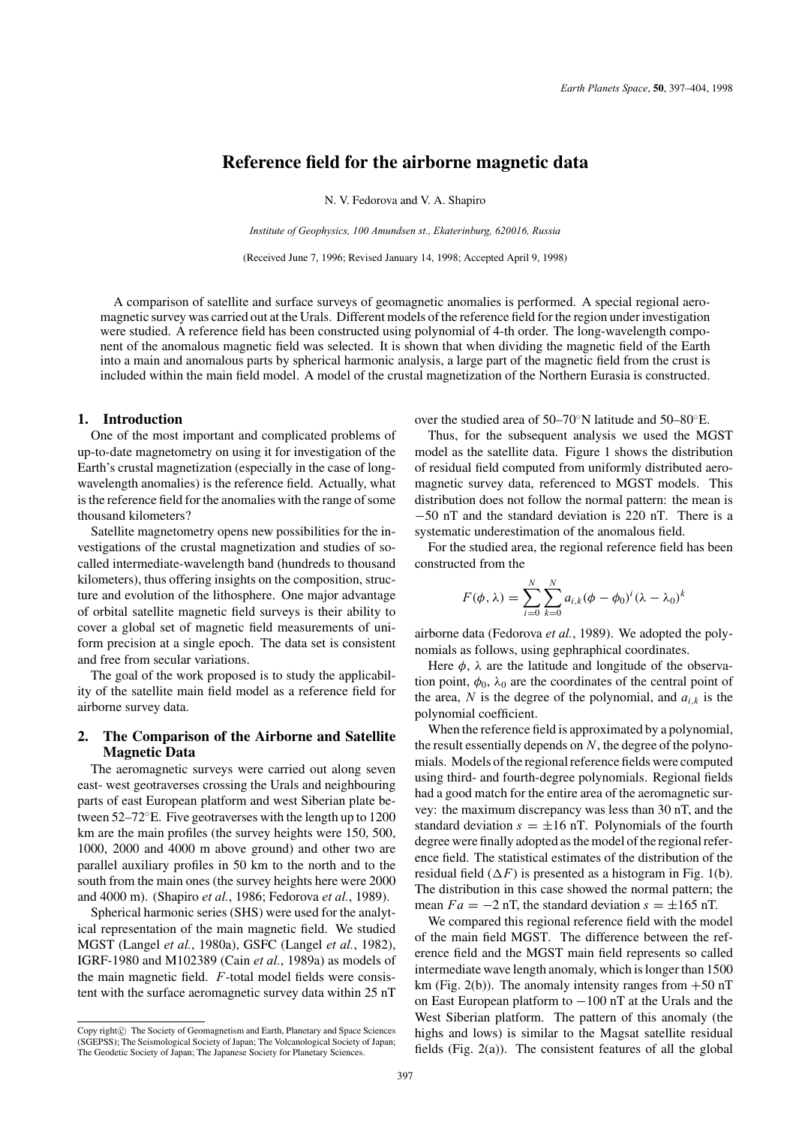# **Reference field for the airborne magnetic data**

N. V. Fedorova and V. A. Shapiro

*Institute of Geophysics, 100 Amundsen st., Ekaterinburg, 620016, Russia*

(Received June 7, 1996; Revised January 14, 1998; Accepted April 9, 1998)

A comparison of satellite and surface surveys of geomagnetic anomalies is performed. A special regional aeromagnetic survey was carried out at the Urals. Different models of the reference field for the region under investigation were studied. A reference field has been constructed using polynomial of 4-th order. The long-wavelength component of the anomalous magnetic field was selected. It is shown that when dividing the magnetic field of the Earth into a main and anomalous parts by spherical harmonic analysis, a large part of the magnetic field from the crust is included within the main field model. A model of the crustal magnetization of the Northern Eurasia is constructed.

#### **1. Introduction**

One of the most important and complicated problems of up-to-date magnetometry on using it for investigation of the Earth's crustal magnetization (especially in the case of longwavelength anomalies) is the reference field. Actually, what is the reference field for the anomalies with the range of some thousand kilometers?

Satellite magnetometry opens new possibilities for the investigations of the crustal magnetization and studies of socalled intermediate-wavelength band (hundreds to thousand kilometers), thus offering insights on the composition, structure and evolution of the lithosphere. One major advantage of orbital satellite magnetic field surveys is their ability to cover a global set of magnetic field measurements of uniform precision at a single epoch. The data set is consistent and free from secular variations.

The goal of the work proposed is to study the applicability of the satellite main field model as a reference field for airborne survey data.

## **2. The Comparison of the Airborne and Satellite Magnetic Data**

The aeromagnetic surveys were carried out along seven east- west geotraverses crossing the Urals and neighbouring parts of east European platform and west Siberian plate between 52–72◦E. Five geotraverses with the length up to 1200 km are the main profiles (the survey heights were 150, 500, 1000, 2000 and 4000 m above ground) and other two are parallel auxiliary profiles in 50 km to the north and to the south from the main ones (the survey heights here were 2000 and 4000 m). (Shapiro *et al.*, 1986; Fedorova *et al.*, 1989).

Spherical harmonic series (SHS) were used for the analytical representation of the main magnetic field. We studied MGST (Langel *et al.*, 1980a), GSFC (Langel *et al.*, 1982), IGRF-1980 and M102389 (Cain *et al.*, 1989a) as models of the main magnetic field. *F*-total model fields were consistent with the surface aeromagnetic survey data within 25 nT over the studied area of 50–70◦N latitude and 50–80◦E.

Thus, for the subsequent analysis we used the MGST model as the satellite data. Figure 1 shows the distribution of residual field computed from uniformly distributed aeromagnetic survey data, referenced to MGST models. This distribution does not follow the normal pattern: the mean is −50 nT and the standard deviation is 220 nT. There is a systematic underestimation of the anomalous field.

For the studied area, the regional reference field has been constructed from the

$$
F(\phi, \lambda) = \sum_{i=0}^{N} \sum_{k=0}^{N} a_{i,k} (\phi - \phi_0)^i (\lambda - \lambda_0)^k
$$

airborne data (Fedorova *et al.*, 1989). We adopted the polynomials as follows, using gephraphical coordinates.

Here  $\phi$ ,  $\lambda$  are the latitude and longitude of the observation point,  $\phi_0$ ,  $\lambda_0$  are the coordinates of the central point of the area,  $N$  is the degree of the polynomial, and  $a_{i,k}$  is the polynomial coefficient.

When the reference field is approximated by a polynomial, the result essentially depends on *N*, the degree of the polynomials. Models of the regional reference fields were computed using third- and fourth-degree polynomials. Regional fields had a good match for the entire area of the aeromagnetic survey: the maximum discrepancy was less than 30 nT, and the standard deviation  $s = \pm 16$  nT. Polynomials of the fourth degree were finally adopted as the model of the regional reference field. The statistical estimates of the distribution of the residual field  $(\Delta F)$  is presented as a histogram in Fig. 1(b). The distribution in this case showed the normal pattern; the mean  $Fa = -2$  nT, the standard deviation  $s = \pm 165$  nT.

We compared this regional reference field with the model of the main field MGST. The difference between the reference field and the MGST main field represents so called intermediate wave length anomaly, which is longer than 1500 km (Fig. 2(b)). The anomaly intensity ranges from  $+50$  nT on East European platform to −100 nT at the Urals and the West Siberian platform. The pattern of this anomaly (the highs and lows) is similar to the Magsat satellite residual fields (Fig. 2(a)). The consistent features of all the global

Copy right $\odot$  The Society of Geomagnetism and Earth, Planetary and Space Sciences (SGEPSS); The Seismological Society of Japan; The Volcanological Society of Japan; The Geodetic Society of Japan; The Japanese Society for Planetary Sciences.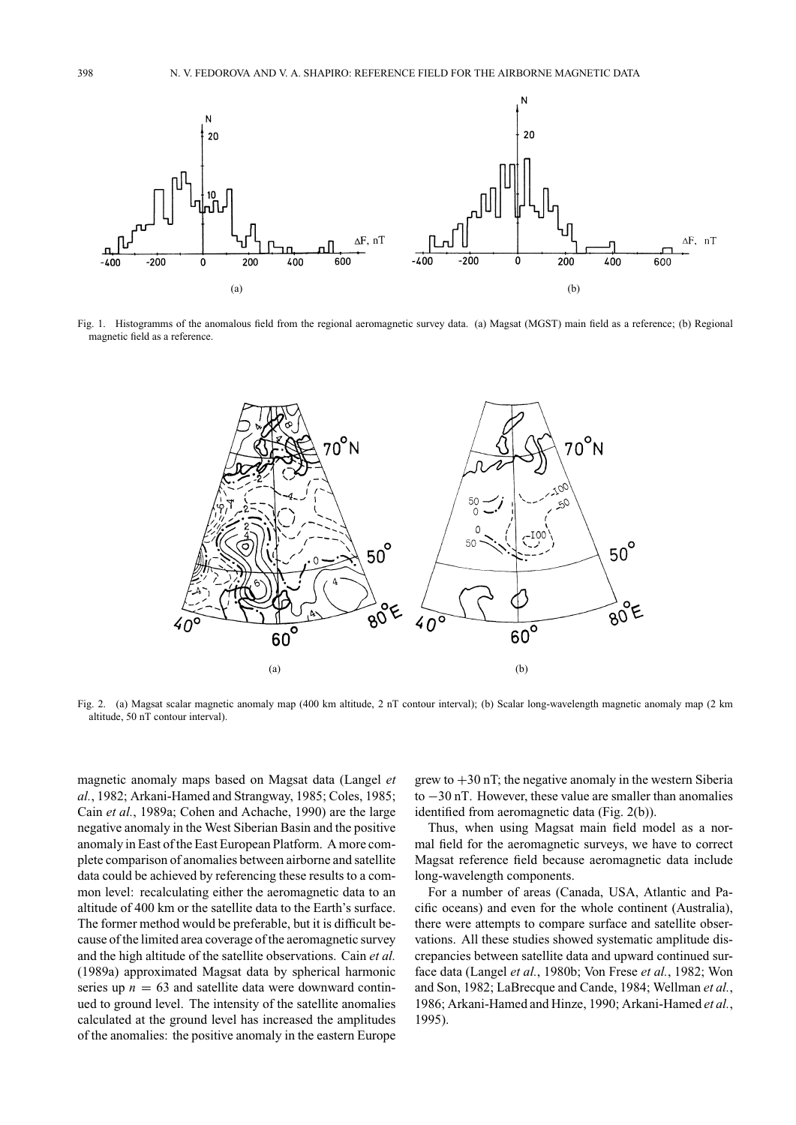

Fig. 1. Histogramms of the anomalous field from the regional aeromagnetic survey data. (a) Magsat (MGST) main field as a reference; (b) Regional magnetic field as a reference.



Fig. 2. (a) Magsat scalar magnetic anomaly map (400 km altitude, 2 nT contour interval); (b) Scalar long-wavelength magnetic anomaly map (2 km altitude, 50 nT contour interval).

magnetic anomaly maps based on Magsat data (Langel *et al.*, 1982; Arkani-Hamed and Strangway, 1985; Coles, 1985; Cain *et al.*, 1989a; Cohen and Achache, 1990) are the large negative anomaly in the West Siberian Basin and the positive anomaly in East of the East European Platform. A more complete comparison of anomalies between airborne and satellite data could be achieved by referencing these results to a common level: recalculating either the aeromagnetic data to an altitude of 400 km or the satellite data to the Earth's surface. The former method would be preferable, but it is difficult because of the limited area coverage of the aeromagnetic survey and the high altitude of the satellite observations. Cain *et al.* (1989a) approximated Magsat data by spherical harmonic series up  $n = 63$  and satellite data were downward continued to ground level. The intensity of the satellite anomalies calculated at the ground level has increased the amplitudes of the anomalies: the positive anomaly in the eastern Europe

grew to  $+30$  nT; the negative anomaly in the western Siberia to −30 nT. However, these value are smaller than anomalies identified from aeromagnetic data (Fig. 2(b)).

Thus, when using Magsat main field model as a normal field for the aeromagnetic surveys, we have to correct Magsat reference field because aeromagnetic data include long-wavelength components.

For a number of areas (Canada, USA, Atlantic and Pacific oceans) and even for the whole continent (Australia), there were attempts to compare surface and satellite observations. All these studies showed systematic amplitude discrepancies between satellite data and upward continued surface data (Langel *et al.*, 1980b; Von Frese *et al.*, 1982; Won and Son, 1982; LaBrecque and Cande, 1984; Wellman *et al.*, 1986; Arkani-Hamed and Hinze, 1990; Arkani-Hamed *et al.*, 1995).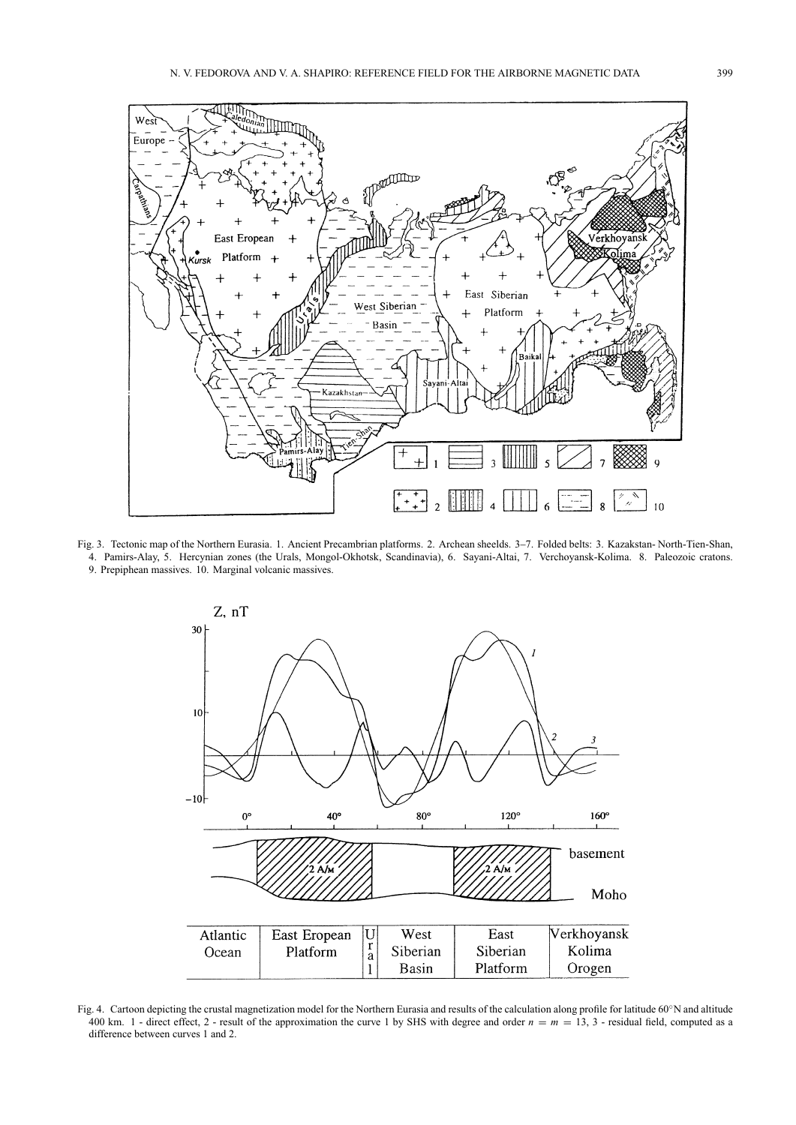

Fig. 3. Tectonic map of the Northern Eurasia. 1. Ancient Precambrian platforms. 2. Archean sheelds. 3–7. Folded belts: 3. Kazakstan- North-Tien-Shan, 4. Pamirs-Alay, 5. Hercynian zones (the Urals, Mongol-Okhotsk, Scandinavia), 6. Sayani-Altai, 7. Verchoyansk-Kolima. 8. Paleozoic cratons. 9. Prepiphean massives. 10. Marginal volcanic massives.



Fig. 4. Cartoon depicting the crustal magnetization model for the Northern Eurasia and results of the calculation along profile for latitude 60°N and altitude 400 km. 1 - direct effect, 2 - result of the approximation the curve 1 by SHS with degree and order  $n = m = 13, 3$  - residual field, computed as a difference between curves 1 and 2.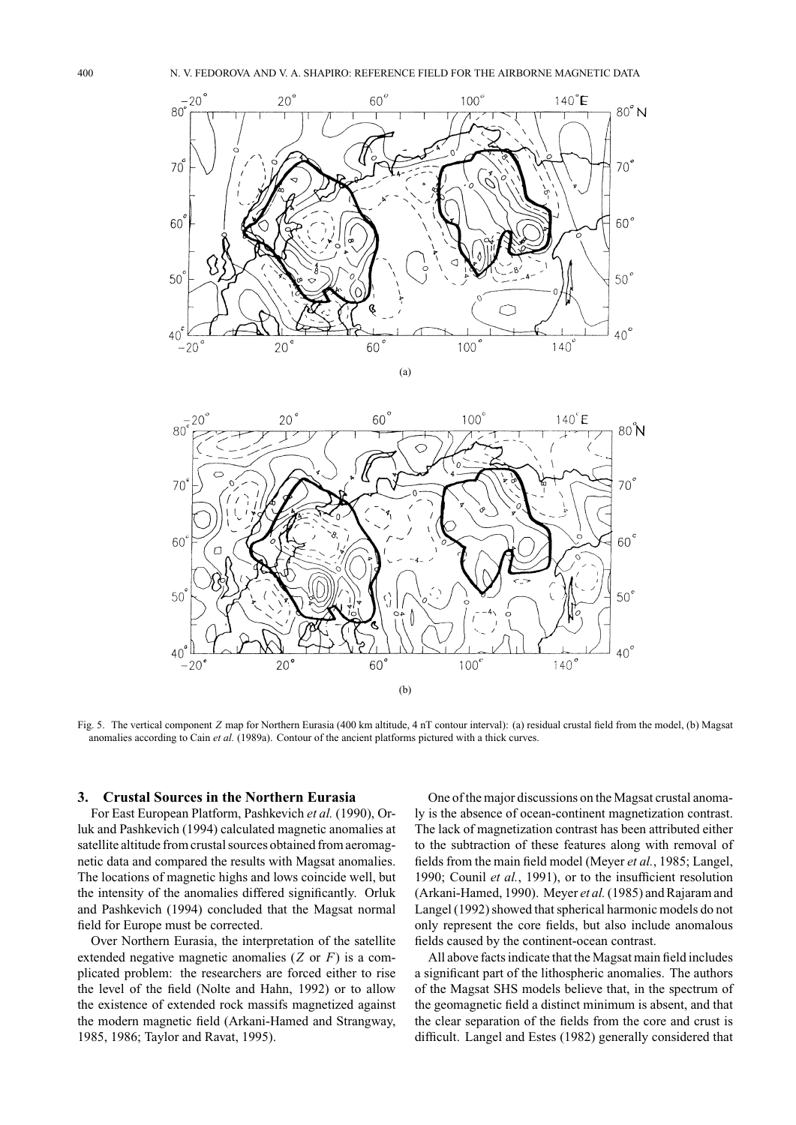



Fig. 5. The vertical component *Z* map for Northern Eurasia (400 km altitude, 4 nT contour interval): (a) residual crustal field from the model, (b) Magsat anomalies according to Cain *et al.* (1989a). Contour of the ancient platforms pictured with a thick curves.

### **3. Crustal Sources in the Northern Eurasia**

For East European Platform, Pashkevich *et al.* (1990), Orluk and Pashkevich (1994) calculated magnetic anomalies at satellite altitude from crustal sources obtained from aeromagnetic data and compared the results with Magsat anomalies. The locations of magnetic highs and lows coincide well, but the intensity of the anomalies differed significantly. Orluk and Pashkevich (1994) concluded that the Magsat normal field for Europe must be corrected.

Over Northern Eurasia, the interpretation of the satellite extended negative magnetic anomalies (*Z* or *F*) is a complicated problem: the researchers are forced either to rise the level of the field (Nolte and Hahn, 1992) or to allow the existence of extended rock massifs magnetized against the modern magnetic field (Arkani-Hamed and Strangway, 1985, 1986; Taylor and Ravat, 1995).

One of the major discussions on the Magsat crustal anomaly is the absence of ocean-continent magnetization contrast. The lack of magnetization contrast has been attributed either to the subtraction of these features along with removal of fields from the main field model (Meyer *et al.*, 1985; Langel, 1990; Counil *et al.*, 1991), or to the insufficient resolution (Arkani-Hamed, 1990). Meyer *et al.*(1985) and Rajaram and Langel (1992) showed that spherical harmonic models do not only represent the core fields, but also include anomalous fields caused by the continent-ocean contrast.

All above facts indicate that the Magsat main field includes a significant part of the lithospheric anomalies. The authors of the Magsat SHS models believe that, in the spectrum of the geomagnetic field a distinct minimum is absent, and that the clear separation of the fields from the core and crust is difficult. Langel and Estes (1982) generally considered that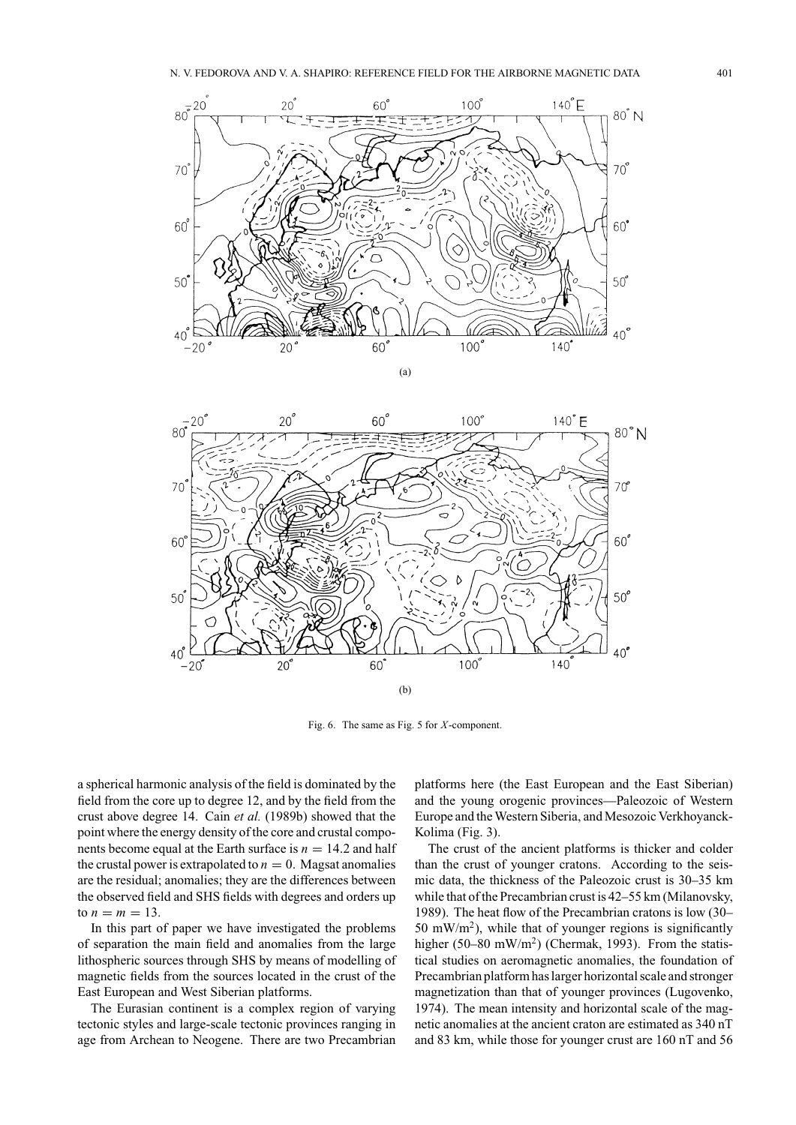



Fig. 6. The same as Fig. 5 for *X*-component.

a spherical harmonic analysis of the field is dominated by the field from the core up to degree 12, and by the field from the crust above degree 14. Cain *et al.* (1989b) showed that the point where the energy density of the core and crustal components become equal at the Earth surface is  $n = 14.2$  and half the crustal power is extrapolated to  $n = 0$ . Magsat anomalies are the residual; anomalies; they are the differences between the observed field and SHS fields with degrees and orders up to  $n = m = 13$ .

In this part of paper we have investigated the problems of separation the main field and anomalies from the large lithospheric sources through SHS by means of modelling of magnetic fields from the sources located in the crust of the East European and West Siberian platforms.

The Eurasian continent is a complex region of varying tectonic styles and large-scale tectonic provinces ranging in age from Archean to Neogene. There are two Precambrian

platforms here (the East European and the East Siberian) and the young orogenic provinces—Paleozoic of Western Europe and the Western Siberia, and Mesozoic Verkhoyanck-Kolima (Fig. 3).

The crust of the ancient platforms is thicker and colder than the crust of younger cratons. According to the seismic data, the thickness of the Paleozoic crust is 30–35 km while that of the Precambrian crust is 42–55 km (Milanovsky, 1989). The heat flow of the Precambrian cratons is low (30– 50 mW/m<sup>2</sup>), while that of younger regions is significantly higher (50–80 mW/m<sup>2</sup>) (Chermak, 1993). From the statistical studies on aeromagnetic anomalies, the foundation of Precambrian platform has larger horizontal scale and stronger magnetization than that of younger provinces (Lugovenko, 1974). The mean intensity and horizontal scale of the magnetic anomalies at the ancient craton are estimated as 340 nT and 83 km, while those for younger crust are 160 nT and 56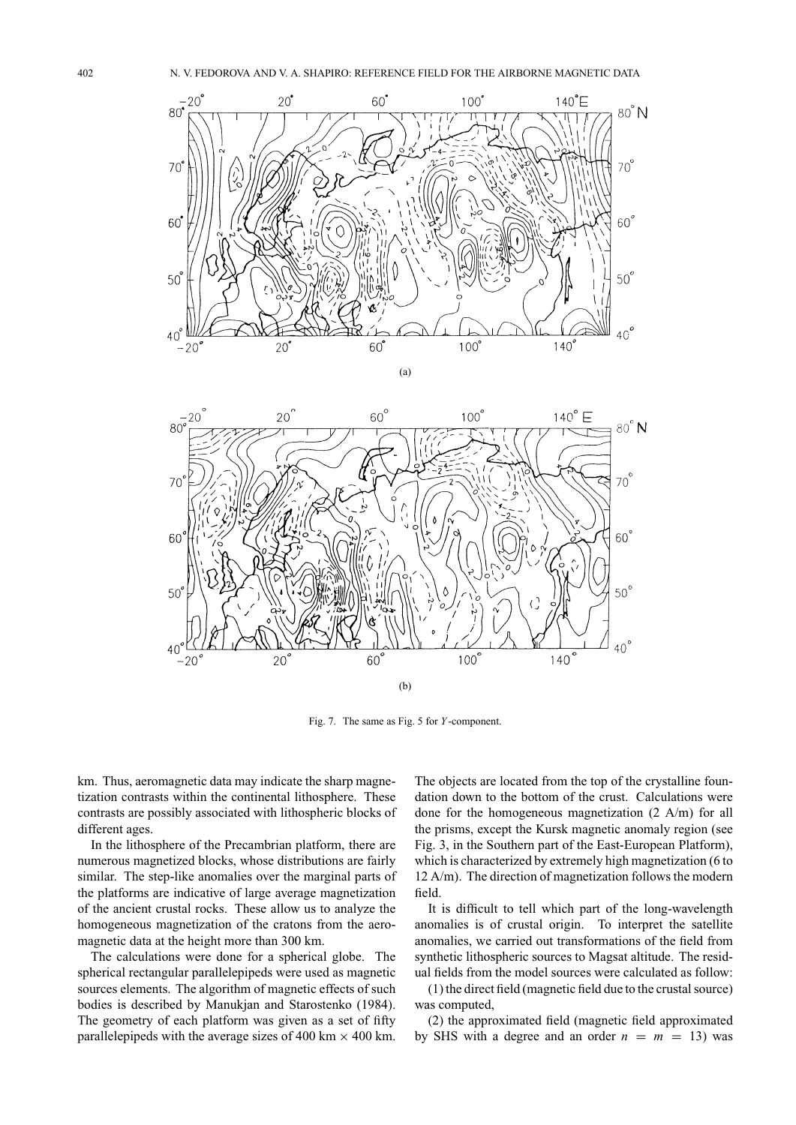



Fig. 7. The same as Fig. 5 for *Y* -component.

km. Thus, aeromagnetic data may indicate the sharp magnetization contrasts within the continental lithosphere. These contrasts are possibly associated with lithospheric blocks of different ages.

In the lithosphere of the Precambrian platform, there are numerous magnetized blocks, whose distributions are fairly similar. The step-like anomalies over the marginal parts of the platforms are indicative of large average magnetization of the ancient crustal rocks. These allow us to analyze the homogeneous magnetization of the cratons from the aeromagnetic data at the height more than 300 km.

The calculations were done for a spherical globe. The spherical rectangular parallelepipeds were used as magnetic sources elements. The algorithm of magnetic effects of such bodies is described by Manukjan and Starostenko (1984). The geometry of each platform was given as a set of fifty parallelepipeds with the average sizes of 400 km  $\times$  400 km. The objects are located from the top of the crystalline foundation down to the bottom of the crust. Calculations were done for the homogeneous magnetization (2 A/m) for all the prisms, except the Kursk magnetic anomaly region (see Fig. 3, in the Southern part of the East-European Platform), which is characterized by extremely high magnetization (6 to 12 A/m). The direction of magnetization follows the modern field.

It is difficult to tell which part of the long-wavelength anomalies is of crustal origin. To interpret the satellite anomalies, we carried out transformations of the field from synthetic lithospheric sources to Magsat altitude. The residual fields from the model sources were calculated as follow:

(1) the direct field (magnetic field due to the crustal source) was computed,

(2) the approximated field (magnetic field approximated by SHS with a degree and an order  $n = m = 13$ ) was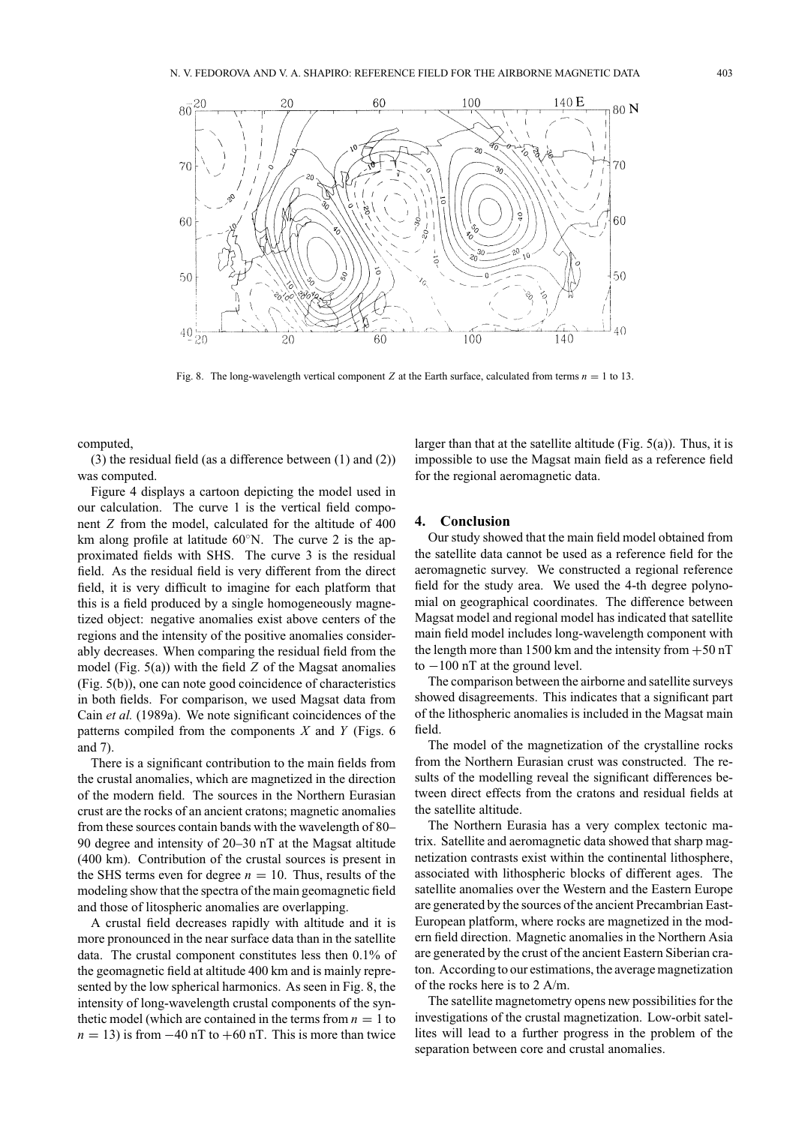

Fig. 8. The long-wavelength vertical component *Z* at the Earth surface, calculated from terms  $n = 1$  to 13.

computed,

(3) the residual field (as a difference between (1) and (2)) was computed.

Figure 4 displays a cartoon depicting the model used in our calculation. The curve 1 is the vertical field component *Z* from the model, calculated for the altitude of 400 km along profile at latitude 60°N. The curve 2 is the approximated fields with SHS. The curve 3 is the residual field. As the residual field is very different from the direct field, it is very difficult to imagine for each platform that this is a field produced by a single homogeneously magnetized object: negative anomalies exist above centers of the regions and the intensity of the positive anomalies considerably decreases. When comparing the residual field from the model (Fig. 5(a)) with the field *Z* of the Magsat anomalies (Fig. 5(b)), one can note good coincidence of characteristics in both fields. For comparison, we used Magsat data from Cain *et al.* (1989a). We note significant coincidences of the patterns compiled from the components *X* and *Y* (Figs. 6 and 7).

There is a significant contribution to the main fields from the crustal anomalies, which are magnetized in the direction of the modern field. The sources in the Northern Eurasian crust are the rocks of an ancient cratons; magnetic anomalies from these sources contain bands with the wavelength of 80– 90 degree and intensity of 20–30 nT at the Magsat altitude (400 km). Contribution of the crustal sources is present in the SHS terms even for degree  $n = 10$ . Thus, results of the modeling show that the spectra of the main geomagnetic field and those of litospheric anomalies are overlapping.

A crustal field decreases rapidly with altitude and it is more pronounced in the near surface data than in the satellite data. The crustal component constitutes less then 0.1% of the geomagnetic field at altitude 400 km and is mainly represented by the low spherical harmonics. As seen in Fig. 8, the intensity of long-wavelength crustal components of the synthetic model (which are contained in the terms from  $n = 1$  to  $n = 13$ ) is from  $-40$  nT to  $+60$  nT. This is more than twice

larger than that at the satellite altitude (Fig. 5(a)). Thus, it is impossible to use the Magsat main field as a reference field for the regional aeromagnetic data.

### **4. Conclusion**

Our study showed that the main field model obtained from the satellite data cannot be used as a reference field for the aeromagnetic survey. We constructed a regional reference field for the study area. We used the 4-th degree polynomial on geographical coordinates. The difference between Magsat model and regional model has indicated that satellite main field model includes long-wavelength component with the length more than 1500 km and the intensity from  $+50$  nT to −100 nT at the ground level.

The comparison between the airborne and satellite surveys showed disagreements. This indicates that a significant part of the lithospheric anomalies is included in the Magsat main field.

The model of the magnetization of the crystalline rocks from the Northern Eurasian crust was constructed. The results of the modelling reveal the significant differences between direct effects from the cratons and residual fields at the satellite altitude.

The Northern Eurasia has a very complex tectonic matrix. Satellite and aeromagnetic data showed that sharp magnetization contrasts exist within the continental lithosphere, associated with lithospheric blocks of different ages. The satellite anomalies over the Western and the Eastern Europe are generated by the sources of the ancient Precambrian East-European platform, where rocks are magnetized in the modern field direction. Magnetic anomalies in the Northern Asia are generated by the crust of the ancient Eastern Siberian craton. According to our estimations, the average magnetization of the rocks here is to 2 A/m.

The satellite magnetometry opens new possibilities for the investigations of the crustal magnetization. Low-orbit satellites will lead to a further progress in the problem of the separation between core and crustal anomalies.